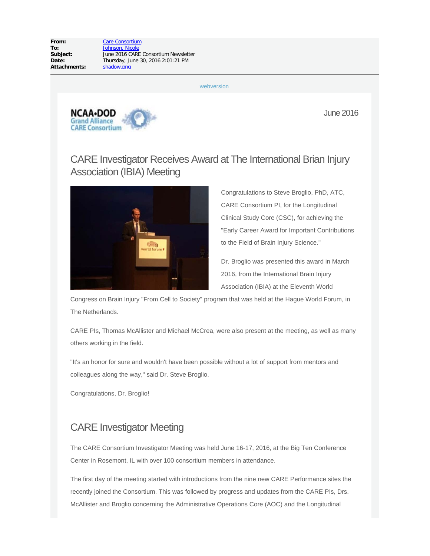June 2016 CARE Consortium Newsletter **Date:** Thursday, June 30, 2016 2:01:21 PM

[webversion](http://careconsortium.net/mymail/836/7232e321d230c175912fcbbafb0ae99d/aHR0cDovL2NhcmVjb25zb3J0aXVtLm5ldC9uZXdzbGV0dGVyL21hcmNoLTIwMTYtY2FyZS1jb25zb3J0aXVtLW5ld3NsZXR0ZXItMy8)



June 2016

### CARE Investigator Receives Award at The International Brian Injury Association (IBIA) Meeting



Congratulations to Steve Broglio, PhD, ATC, CARE Consortium PI, for the Longitudinal Clinical Study Core (CSC), for achieving the "Early Career Award for Important Contributions to the Field of Brain Injury Science."

Dr. Broglio was presented this award in March 2016, from the International Brain Injury Association (IBIA) at the Eleventh World

Congress on Brain Injury "From Cell to Society" program that was held at the Hague World Forum, in The Netherlands.

CARE PIs, Thomas McAllister and Michael McCrea, were also present at the meeting, as well as many others working in the field.

"It's an honor for sure and wouldn't have been possible without a lot of support from mentors and colleagues along the way," said Dr. Steve Broglio.

Congratulations, Dr. Broglio!

### CARE Investigator Meeting

The CARE Consortium Investigator Meeting was held June 16-17, 2016, at the Big Ten Conference Center in Rosemont, IL with over 100 consortium members in attendance.

The first day of the meeting started with introductions from the nine new CARE Performance sites the recently joined the Consortium. This was followed by progress and updates from the CARE PIs, Drs. McAllister and Broglio concerning the Administrative Operations Core (AOC) and the Longitudinal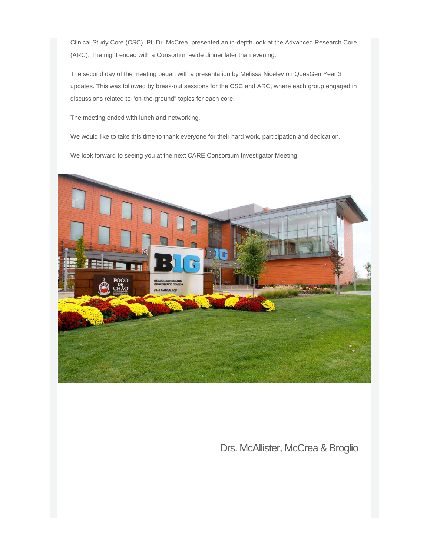Clinical Study Core (CSC). PI, Dr. McCrea, presented an in-depth look at the Advanced Research Core (ARC). The night ended with a Consortium-wide dinner later than evening.

The second day of the meeting began with a presentation by Melissa Niceley on QuesGen Year 3 updates. This was followed by break-out sessions for the CSC and ARC, where each group engaged in discussions related to "on-the-ground" topics for each core.

The meeting ended with lunch and networking.

We would like to take this time to thank everyone for their hard work, participation and dedication.

We look forward to seeing you at the next CARE Consortium Investigator Meeting!



#### Drs. McAllister, McCrea & Broglio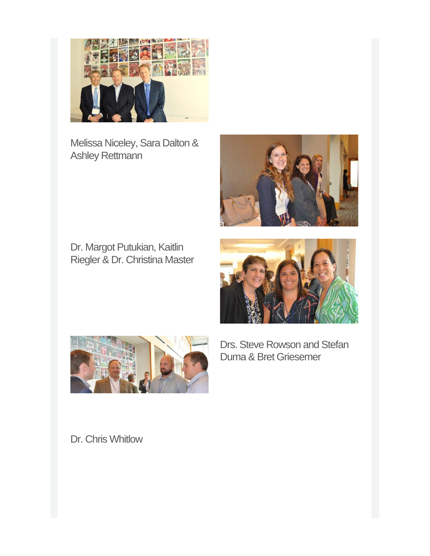

Melissa Niceley, Sara Dalton & Ashley Rettmann



Dr. Margot Putukian, Kaitlin Riegler & Dr. Christina Master





Drs. Steve Rowson and Stefan Duma & Bret Griesemer

Dr. Chris Whitlow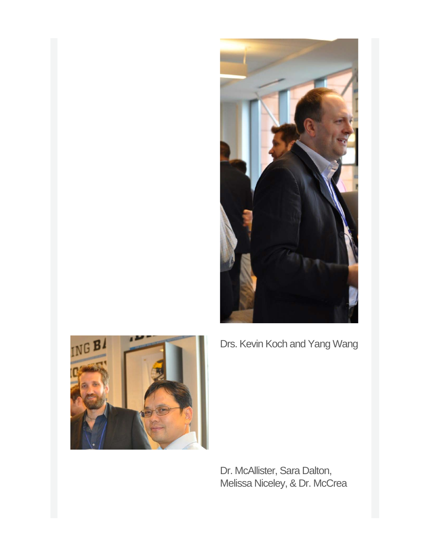



Drs. Kevin Koch and Yang Wang

Dr. McAllister, Sara Dalton, Melissa Niceley, & Dr. McCrea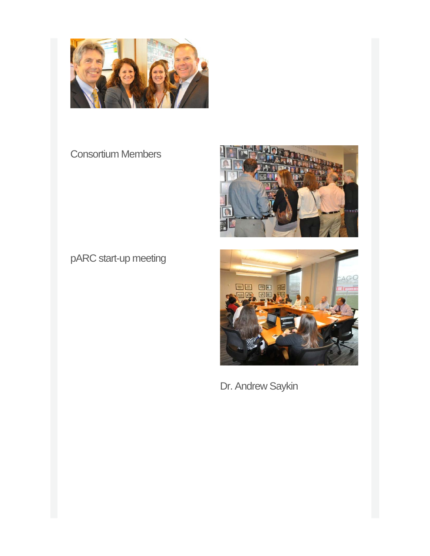

## Consortium Members



# pARC start-up meeting



Dr. Andrew Saykin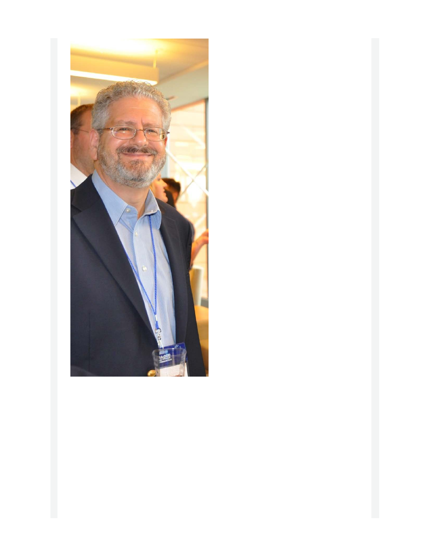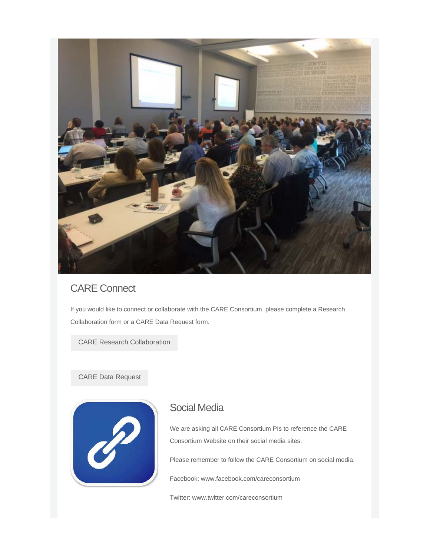

### CARE Connect

If you would like to connect or collaborate with the CARE Consortium, please complete a Research Collaboration form or a CARE Data Request form.

[CARE Research Collaboration](http://careconsortium.net/mymail/836/7232e321d230c175912fcbbafb0ae99d/aHR0cHM6Ly9yZWRjYXAudWl0cy5pdS5lZHUvc3VydmV5cy8_cz1uZ1VRcHdpdUhH)

[CARE Data Request](http://careconsortium.net/mymail/836/7232e321d230c175912fcbbafb0ae99d/aHR0cHM6Ly9yZWRjYXAudWl0cy5pdS5lZHUvc3VydmV5cy8_cz1oOUNxNTQ3aU5h)



### Social Media

We are asking all CARE Consortium PIs to reference the CARE Consortium Website on their social media sites.

Please remember to follow the CARE Consortium on social media:

Facebook: www.facebook.com/careconsortium

Twitter: www.twitter.com/careconsortium